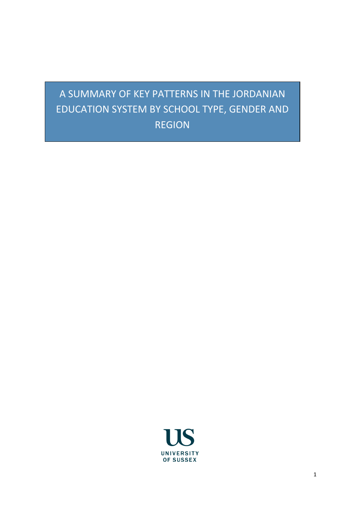# A SUMMARY OF KEY PATTERNS IN THE JORDANIAN EDUCATION SYSTEM BY SCHOOL TYPE, GENDER AND REGION

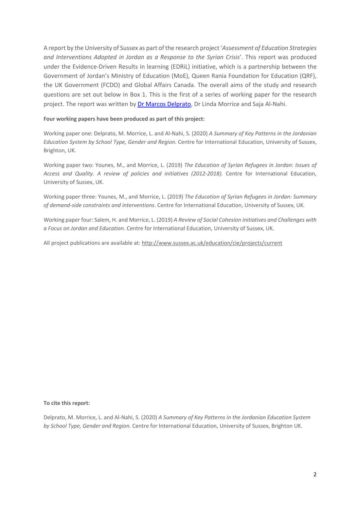A report by the University of Sussex as part of the research project '*Assessment of Education Strategies and Interventions Adopted in Jordan as a Response to the Syrian Crisis*'. This report was produced under the Evidence-Driven Results in learning (EDRiL) initiative, which is a partnership between the Government of Jordan's Ministry of Education (MoE), Queen Rania Foundation for Education (QRF), the UK Government (FCDO) and Global Affairs Canada. The overall aims of the study and research questions are set out below in Box 1. This is the first of a series of working paper for the research project. The report was written by Dr Marcos Delprato, Dr Linda Morrice and Saja Al-Nahi.

## **Four working papers have been produced as part of this project:**

Working paper one: Delprato, M. Morrice, L. and Al-Nahi, S. (2020) *A Summary of Key Patterns in the Jordanian Education System by School Type, Gender and Region.* Centre for International Education, University of Sussex, Brighton, UK.

Working paper two: Younes, M., and Morrice, L. (2019) *The Education of Syrian Refugees in Jordan: Issues of Access and Quality. A review of policies and initiatives (2012-2018)*. Centre for International Education, University of Sussex, UK.

Working paper three: Younes, M., and Morrice, L. (2019) *The Education of Syrian Refugees in Jordan: Summary of demand-side constraints and interventions*. Centre for International Education, University of Sussex, UK.

Working paper four: Salem, H. and Morrice, L. (2019) *A Review of Social Cohesion Initiatives and Challenges with a Focus on Jordan and Education*. Centre for International Education, University of Sussex, UK.

All project publications are available at: http://www.sussex.ac.uk/education/cie/projects/current

#### **To cite this report:**

Delprato, M. Morrice, L. and Al-Nahi, S. (2020) *A Summary of Key Patterns in the Jordanian Education System by School Type, Gender and Region.* Centre for International Education, University of Sussex, Brighton UK.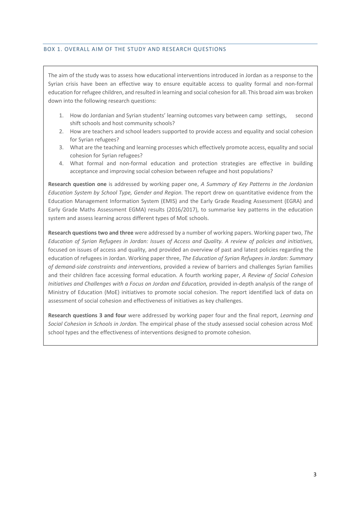## BOX 1. OVERALL AIM OF THE STUDY AND RESEARCH QUESTIONS

The aim of the study was to assess how educational interventions introduced in Jordan as a response to the Syrian crisis have been an effective way to ensure equitable access to quality formal and non-formal education for refugee children, and resulted in learning and social cohesion for all. This broad aim was broken down into the following research questions:

- 1. How do Jordanian and Syrian students' learning outcomes vary between camp settings, second shift schools and host community schools?
- 2. How are teachers and school leaders supported to provide access and equality and social cohesion for Syrian refugees?
- 3. What are the teaching and learning processes which effectively promote access, equality and social cohesion for Syrian refugees?
- 4. What formal and non-formal education and protection strategies are effective in building acceptance and improving social cohesion between refugee and host populations?

**Research question one** is addressed by working paper one, *A Summary of Key Patterns in the Jordanian Education System by School Type, Gender and Region.* The report drew on quantitative evidence from the Education Management Information System (EMIS) and the Early Grade Reading Assessment (EGRA) and Early Grade Maths Assessment EGMA) results (2016/2017), to summarise key patterns in the education system and assess learning across different types of MoE schools.

**Research questions two and three** were addressed by a number of working papers. Working paper two, *The Education of Syrian Refugees in Jordan: Issues of Access and Quality. A review of policies and initiatives,*  focused on issues of access and quality, and provided an overview of past and latest policies regarding the education of refugees in Jordan. Working paper three, *The Education of Syrian Refugees in Jordan: Summary of demand-side constraints and interventions*, provided a review of barriers and challenges Syrian families and their children face accessing formal education. A fourth working paper, *A Review of Social Cohesion Initiatives and Challenges with a Focus on Jordan and Education,* provided in-depth analysis of the range of Ministry of Education (MoE) initiatives to promote social cohesion. The report identified lack of data on assessment of social cohesion and effectiveness of initiatives as key challenges.

**Research questions 3 and four** were addressed by working paper four and the final report, *Learning and Social Cohesion in Schools in Jordan.* The empirical phase of the study assessed social cohesion across MoE school types and the effectiveness of interventions designed to promote cohesion.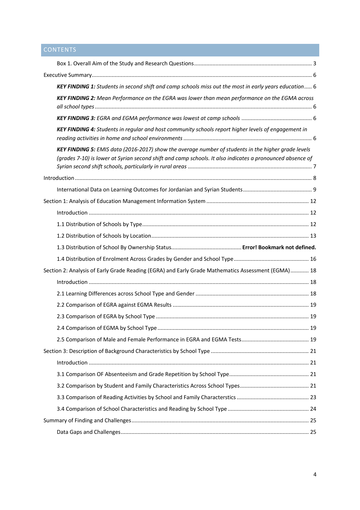# **CONTENTS**

| KEY FINDING 1: Students in second shift and camp schools miss out the most in early years education 6                                                                                                            |  |
|------------------------------------------------------------------------------------------------------------------------------------------------------------------------------------------------------------------|--|
| KEY FINDING 2: Mean Performance on the EGRA was lower than mean performance on the EGMA across                                                                                                                   |  |
|                                                                                                                                                                                                                  |  |
| KEY FINDING 4: Students in regular and host community schools report higher levels of engagement in                                                                                                              |  |
| KEY FINDING 5: EMIS data (2016-2017) show the average number of students in the higher grade levels<br>(grades 7-10) is lower at Syrian second shift and camp schools. It also indicates a pronounced absence of |  |
|                                                                                                                                                                                                                  |  |
|                                                                                                                                                                                                                  |  |
|                                                                                                                                                                                                                  |  |
|                                                                                                                                                                                                                  |  |
|                                                                                                                                                                                                                  |  |
|                                                                                                                                                                                                                  |  |
|                                                                                                                                                                                                                  |  |
|                                                                                                                                                                                                                  |  |
| Section 2: Analysis of Early Grade Reading (EGRA) and Early Grade Mathematics Assessment (EGMA) 18                                                                                                               |  |
|                                                                                                                                                                                                                  |  |
|                                                                                                                                                                                                                  |  |
|                                                                                                                                                                                                                  |  |
|                                                                                                                                                                                                                  |  |
|                                                                                                                                                                                                                  |  |
|                                                                                                                                                                                                                  |  |
|                                                                                                                                                                                                                  |  |
|                                                                                                                                                                                                                  |  |
|                                                                                                                                                                                                                  |  |
|                                                                                                                                                                                                                  |  |
|                                                                                                                                                                                                                  |  |
|                                                                                                                                                                                                                  |  |
|                                                                                                                                                                                                                  |  |
|                                                                                                                                                                                                                  |  |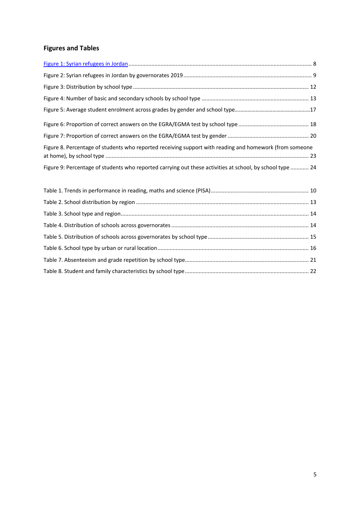# **Figures and Tables**

| Figure 8. Percentage of students who reported receiving support with reading and homework (from someone   |  |
|-----------------------------------------------------------------------------------------------------------|--|
| Figure 9: Percentage of students who reported carrying out these activities at school, by school type  24 |  |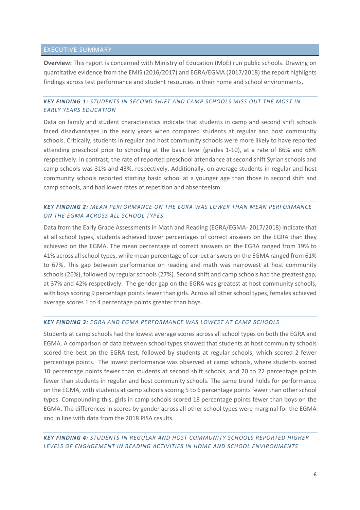# EXECUTIVE SUMMARY

**Overview:** This report is concerned with Ministry of Education (MoE) run public schools. Drawing on quantitative evidence from the EMIS (2016/2017) and EGRA/EGMA (2017/2018) the report highlights findings across test performance and student resources in their home and school environments.

# *KEY FINDING 1: STUDENTS IN SECOND SHIFT AND CAMP SCHOOLS MISS OUT THE MOST IN EARLY YEARS EDUCATION*

Data on family and student characteristics indicate that students in camp and second shift schools faced disadvantages in the early years when compared students at regular and host community schools. Critically, students in regular and host community schools were more likely to have reported attending preschool prior to schooling at the basic level (grades 1-10), at a rate of 86% and 68% respectively. In contrast, the rate of reported preschool attendance at second shift Syrian schools and camp schools was 31% and 43%, respectively. Additionally, on average students in regular and host community schools reported starting basic school at a younger age than those in second shift and camp schools, and had lower rates of repetition and absenteeism.

# *KEY FINDING 2: MEAN PERFORMANCE ON THE EGRA WAS LOWER THAN MEAN PERFORMANCE ON THE EGMA ACROSS ALL SCHOOL TYPES*

Data from the Early Grade Assessments in Math and Reading (EGRA/EGMA- 2017/2018) indicate that at all school types, students achieved lower percentages of correct answers on the EGRA than they achieved on the EGMA. The mean percentage of correct answers on the EGRA ranged from 19% to 41% across all school types, while mean percentage of correct answers on the EGMA ranged from 61% to 67%. This gap between performance on reading and math was narrowest at host community schools (26%), followed by regular schools (27%). Second shift and camp schools had the greatest gap, at 37% and 42% respectively. The gender gap on the EGRA was greatest at host community schools, with boys scoring 9 percentage points fewer than girls. Across all other school types, females achieved average scores 1 to 4 percentage points greater than boys.

## *KEY FINDING 3: EGRA AND EGMA PERFORMANCE WAS LOWEST AT CAMP SCHOOLS*

Students at camp schools had the lowest average scores across all school types on both the EGRA and EGMA. A comparison of data between school types showed that students at host community schools scored the best on the EGRA test, followed by students at regular schools, which scored 2 fewer percentage points. The lowest performance was observed at camp schools, where students scored 10 percentage points fewer than students at second shift schools, and 20 to 22 percentage points fewer than students in regular and host community schools. The same trend holds for performance on the EGMA, with students at camp schools scoring 5 to 6 percentage points fewer than other school types. Compounding this, girls in camp schools scored 18 percentage points fewer than boys on the EGMA. The differences in scores by gender across all other school types were marginal for the EGMA and in line with data from the 2018 PISA results.

# *KEY FINDING 4: STUDENTS IN REGULAR AND HOST COMMUNITY SCHOOLS REPORTED HIGHER LEVELS OF ENGAGEMENT IN READING ACTIVITIES IN HOME AND SCHOOL ENVIRONMENTS*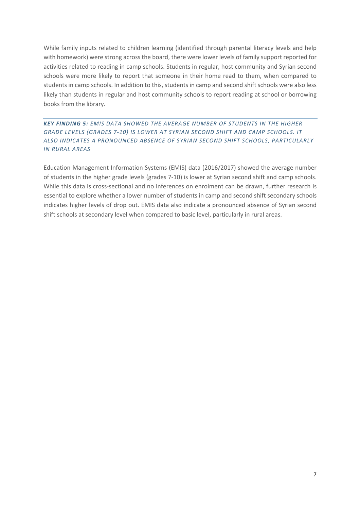While family inputs related to children learning (identified through parental literacy levels and help with homework) were strong across the board, there were lower levels of family support reported for activities related to reading in camp schools. Students in regular, host community and Syrian second schools were more likely to report that someone in their home read to them, when compared to students in camp schools. In addition to this, students in camp and second shift schools were also less likely than students in regular and host community schools to report reading at school or borrowing books from the library.

# *KEY FINDING 5: EMIS DATA SHOWED THE AVERAGE NUMBER OF STUDENTS IN THE HIGHER GRADE LEVELS (GRADES 7-10) IS LOWER AT SYRIAN SECOND SHIFT AND CAMP SCHOOLS. IT ALSO INDICATES A PRONOUNCED ABSENCE OF SYRIAN SECOND SHIFT SCHOOLS, PARTICULARLY IN RURAL AREAS*

Education Management Information Systems (EMIS) data (2016/2017) showed the average number of students in the higher grade levels (grades 7-10) is lower at Syrian second shift and camp schools. While this data is cross-sectional and no inferences on enrolment can be drawn, further research is essential to explore whether a lower number of students in camp and second shift secondary schools indicates higher levels of drop out. EMIS data also indicate a pronounced absence of Syrian second shift schools at secondary level when compared to basic level, particularly in rural areas.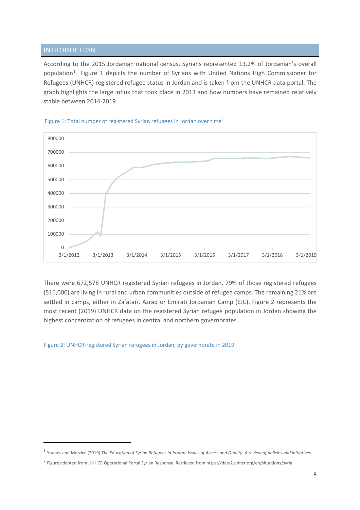# INTRODUCTION

According to the 2015 Jordanian national census, Syrians represented 13.2% of Jordanian's overall population<sup>1</sup>. Figure 1 depicts the number of Syrians with United Nations High Commissioner for Refugees (UNHCR) registered refugee status in Jordan and is taken from the UNHCR data portal. The graph highlights the large influx that took place in 2013 and how numbers have remained relatively stable between 2014-2019.



#### Figure 1: Total number of registered Syrian refugees in Jordan over time<sup>2</sup>

There were 672,578 UNHCR registered Syrian refugees in Jordan. 79% of those registered refugees (516,000) are living in rural and urban communities outside of refugee camps. The remaining 21% are settled in camps, either in Za'atari, Azraq or Emirati Jordanian Camp (EJC). Figure 2 represents the most recent (2019) UNHCR data on the registered Syrian refugee population in Jordan showing the highest concentration of refugees in central and northern governorates.

Figure 2: UNHCR-registered Syrian refugees in Jordan, by governorate in 2019

<sup>1</sup> Younes and Morrice (2019) *The Education of Syrian Refugees in Jordan: Issues of Access and Quality. A review of policies and initiatives.* 

<sup>2</sup> Figure adapted from UNHCR Operational Portal Syrian Response. Retrieved from https://data2.unhcr.org/en/situations/syria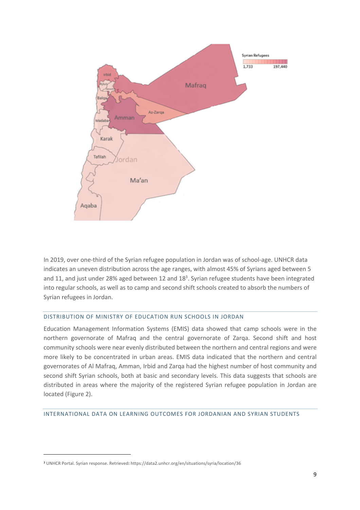

In 2019, over one-third of the Syrian refugee population in Jordan was of school-age. UNHCR data indicates an uneven distribution across the age ranges, with almost 45% of Syrians aged between 5 and 11, and just under 28% aged between 12 and  $18<sup>3</sup>$ . Syrian refugee students have been integrated into regular schools, as well as to camp and second shift schools created to absorb the numbers of Syrian refugees in Jordan.

# DISTRIBUTION OF MINISTRY OF EDUCATION RUN SCHOOLS IN JORDAN

Education Management Information Systems (EMIS) data showed that camp schools were in the northern governorate of Mafraq and the central governorate of Zarqa. Second shift and host community schools were near evenly distributed between the northern and central regions and were more likely to be concentrated in urban areas. EMIS data indicated that the northern and central governorates of Al Mafraq, Amman, Irbid and Zarqa had the highest number of host community and second shift Syrian schools, both at basic and secondary levels. This data suggests that schools are distributed in areas where the majority of the registered Syrian refugee population in Jordan are located (Figure 2).

# INTERNATIONAL DATA ON LEARNING OUTCOMES FOR JORDANIAN AND SYRIAN STUDENTS

<sup>3</sup> UNHCR Portal. Syrian response. Retrieved: https://data2.unhcr.org/en/situations/syria/location/36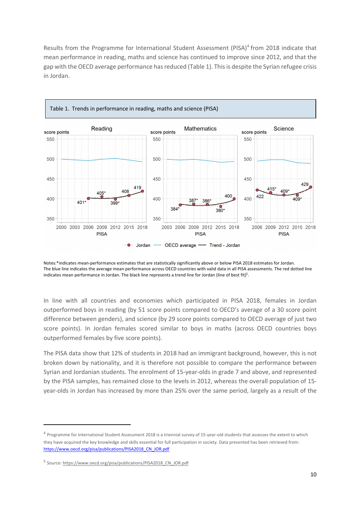Results from the Programme for International Student Assessment  $(PISA)^4$  from 2018 indicate that mean performance in reading, maths and science has continued to improve since 2012, and that the gap with the OECD average performance has reduced (Table 1). This is despite the Syrian refugee crisis in Jordan.



Notes:\*indicates mean-performance estimates that are statistically significantly above or below PISA 2018 estimates for Jordan. The blue line indicates the average mean performance across OECD countries with valid data in all PISA assessments. The red dotted line indicates mean performance in Jordan. The black line represents a trend line for Jordan (line of best fit)<sup>5</sup>.

In line with all countries and economies which participated in PISA 2018, females in Jordan outperformed boys in reading (by 51 score points compared to OECD's average of a 30 score point difference between genders), and science (by 29 score points compared to OECD average of just two score points). In Jordan females scored similar to boys in maths (across OECD countries boys outperformed females by five score points).

The PISA data show that 12% of students in 2018 had an immigrant background, however, this is not broken down by nationality, and it is therefore not possible to compare the performance between Syrian and Jordanian students. The enrolment of 15-year-olds in grade 7 and above, and represented by the PISA samples, has remained close to the levels in 2012, whereas the overall population of 15 year-olds in Jordan has increased by more than 25% over the same period, largely as a result of the

<sup>&</sup>lt;sup>4</sup> Programme for International Student Assessment 2018 is a triennial survey of 15-year-old students that assesses the extent to which they have acquired the key knowledge and skills essential for full participation in society. Data presented has been retrieved from: https://www.oecd.org/pisa/publications/PISA2018\_CN\_JOR.pdf

<sup>5</sup> Source: https://www.oecd.org/pisa/publications/PISA2018\_CN\_JOR.pdf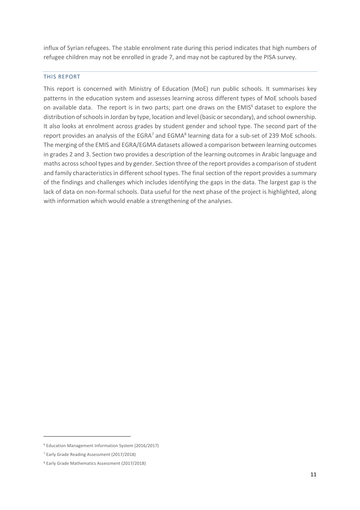influx of Syrian refugees. The stable enrolment rate during this period indicates that high numbers of refugee children may not be enrolled in grade 7, and may not be captured by the PISA survey.

## THIS REPORT

This report is concerned with Ministry of Education (MoE) run public schools. It summarises key patterns in the education system and assesses learning across different types of MoE schools based on available data. The report is in two parts; part one draws on the EMIS<sup>6</sup> dataset to explore the distribution of schools in Jordan by type, location and level (basic or secondary), and school ownership. It also looks at enrolment across grades by student gender and school type. The second part of the report provides an analysis of the EGRA<sup>7</sup> and EGMA<sup>8</sup> learning data for a sub-set of 239 MoE schools. The merging of the EMIS and EGRA/EGMA datasets allowed a comparison between learning outcomes in grades 2 and 3. Section two provides a description of the learning outcomes in Arabic language and maths across school types and by gender. Section three of the report provides a comparison of student and family characteristics in different school types. The final section of the report provides a summary of the findings and challenges which includes identifying the gaps in the data. The largest gap is the lack of data on non-formal schools. Data useful for the next phase of the project is highlighted, along with information which would enable a strengthening of the analyses.

<sup>6</sup> Education Management Information System (2016/2017)

<sup>7</sup> Early Grade Reading Assessment (2017/2018)

<sup>8</sup> Early Grade Mathematics Assessment (2017/2018)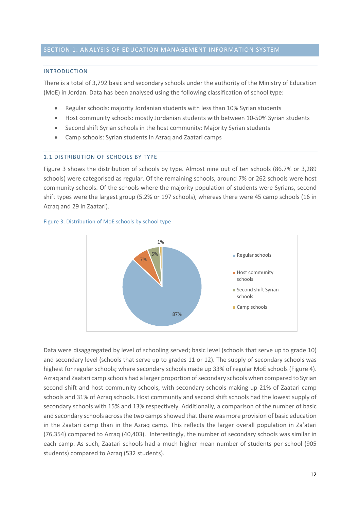## INTRODUCTION

There is a total of 3,792 basic and secondary schools under the authority of the Ministry of Education (MoE) in Jordan. Data has been analysed using the following classification of school type:

- Regular schools: majority Jordanian students with less than 10% Syrian students
- Host community schools: mostly Jordanian students with between 10-50% Syrian students
- Second shift Syrian schools in the host community: Majority Syrian students
- Camp schools: Syrian students in Azraq and Zaatari camps

# 1.1 DISTRIBUTION OF SCHOOLS BY TYPE

Figure 3 shows the distribution of schools by type. Almost nine out of ten schools (86.7% or 3,289 schools) were categorised as regular. Of the remaining schools, around 7% or 262 schools were host community schools. Of the schools where the majority population of students were Syrians, second shift types were the largest group (5.2% or 197 schools), whereas there were 45 camp schools (16 in Azraq and 29 in Zaatari).



## Figure 3: Distribution of MoE schools by school type

Data were disaggregated by level of schooling served; basic level (schools that serve up to grade 10) and secondary level (schools that serve up to grades 11 or 12). The supply of secondary schools was highest for regular schools; where secondary schools made up 33% of regular MoE schools (Figure 4). Azraq and Zaatari camp schools had a larger proportion of secondary schools when compared to Syrian second shift and host community schools, with secondary schools making up 21% of Zaatari camp schools and 31% of Azraq schools. Host community and second shift schools had the lowest supply of secondary schools with 15% and 13% respectively. Additionally, a comparison of the number of basic and secondary schools across the two camps showed that there was more provision of basic education in the Zaatari camp than in the Azraq camp. This reflects the larger overall population in Za'atari (76,354) compared to Azraq (40,403). Interestingly, the number of secondary schools was similar in each camp. As such, Zaatari schools had a much higher mean number of students per school (905 students) compared to Azraq (532 students).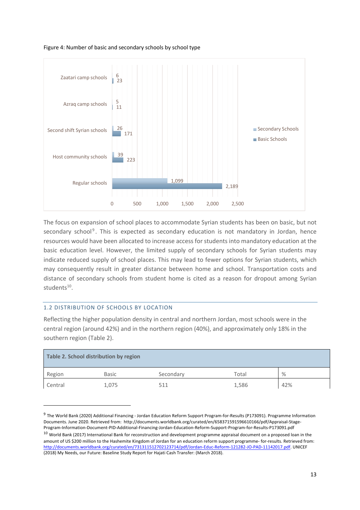Figure 4: Number of basic and secondary schools by school type



The focus on expansion of school places to accommodate Syrian students has been on basic, but not secondary school<sup>9</sup>. This is expected as secondary education is not mandatory in Jordan, hence resources would have been allocated to increase access for students into mandatory education at the basic education level. However, the limited supply of secondary schools for Syrian students may indicate reduced supply of school places. This may lead to fewer options for Syrian students, which may consequently result in greater distance between home and school. Transportation costs and distance of secondary schools from student home is cited as a reason for dropout among Syrian  $students^{10}$ .

# 1.2 DISTRIBUTION OF SCHOOLS BY LOCATION

Reflecting the higher population density in central and northern Jordan, most schools were in the central region (around 42%) and in the northern region (40%), and approximately only 18% in the southern region (Table 2).

| Table 2. School distribution by region |              |           |       |      |  |  |
|----------------------------------------|--------------|-----------|-------|------|--|--|
| Region                                 | <b>Basic</b> | Secondary | Total | $\%$ |  |  |
| Central                                | 1,075        | 511       | 1,586 | 42%  |  |  |

<sup>&</sup>lt;sup>9</sup> The World Bank (2020) Additional Financing - Jordan Education Reform Support Program-for-Results (P173091). Programme Information Documents. June 2020. Retrieved from: http://documents.worldbank.org/curated/en/658371591596610166/pdf/Appraisal-Stage-Program-Information-Document-PID-Additional-Financing-Jordan-Education-Reform-Support-Program-for-Results-P173091.pdf  $10$  World Bank (2017) International Bank for reconstruction and development programme appraisal document on a proposed loan in the amount of US \$200 million to the Hashemite Kingdom of Jordan for an education reform support programme- for-results. Retrieved from: http://documents.worldbank.org/curated/en/731311512702123714/pdf/Jordan-Educ-Reform-121282-JO-PAD-11142017.pdf. UNICEF (2018) My Needs, our Future: Baseline Study Report for Hajati Cash Transfer: (March 2018).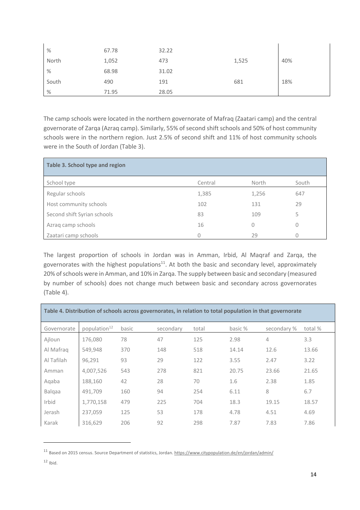| $\%$  | 67.78 | 32.22 |       |     |
|-------|-------|-------|-------|-----|
| North | 1,052 | 473   | 1,525 | 40% |
| $\%$  | 68.98 | 31.02 |       |     |
| South | 490   | 191   | 681   | 18% |
| $\%$  | 71.95 | 28.05 |       |     |

The camp schools were located in the northern governorate of Mafraq (Zaatari camp) and the central governorate of Zarqa (Azraq camp). Similarly, 55% of second shift schools and 50% of host community schools were in the northern region. Just 2.5% of second shift and 11% of host community schools were in the South of Jordan (Table 3).

| Table 3. School type and region |         |          |       |
|---------------------------------|---------|----------|-------|
| School type                     | Central | North    | South |
| Regular schools                 | 1,385   | 1,256    | 647   |
| Host community schools          | 102     | 131      | 29    |
| Second shift Syrian schools     | 83      | 109      | 5     |
| Azrag camp schools              | 16      | $\Omega$ | O     |
| Zaatari camp schools            | Ω       | 29       |       |

The largest proportion of schools in Jordan was in Amman, Irbid, Al Maqraf and Zarqa, the governorates with the highest populations<sup>11</sup>. At both the basic and secondary level, approximately 20% of schools were in Amman, and 10% in Zarqa. The supply between basic and secondary (measured by number of schools) does not change much between basic and secondary across governorates (Table 4).

| Table 4. Distribution of schools across governorates, in relation to total population in that governorate |                          |       |           |       |         |             |         |  |
|-----------------------------------------------------------------------------------------------------------|--------------------------|-------|-----------|-------|---------|-------------|---------|--|
| Governorate                                                                                               | population <sup>12</sup> | basic | secondary | total | basic % | secondary % | total % |  |
| Ajloun                                                                                                    | 176,080                  | 78    | 47        | 125   | 2.98    | 4           | 3.3     |  |
| Al Mafrag                                                                                                 | 549,948                  | 370   | 148       | 518   | 14.14   | 12.6        | 13.66   |  |
| Al Tafilah                                                                                                | 96.291                   | 93    | 29        | 122   | 3.55    | 2.47        | 3.22    |  |
| Amman                                                                                                     | 4,007,526                | 543   | 278       | 821   | 20.75   | 23.66       | 21.65   |  |
| Aqaba                                                                                                     | 188,160                  | 42    | 28        | 70    | 1.6     | 2.38        | 1.85    |  |
| Balgaa                                                                                                    | 491,709                  | 160   | 94        | 254   | 6.11    | 8           | 6.7     |  |
| Irbid                                                                                                     | 1,770,158                | 479   | 225       | 704   | 18.3    | 19.15       | 18.57   |  |
| Jerash                                                                                                    | 237,059                  | 125   | 53        | 178   | 4.78    | 4.51        | 4.69    |  |
| Karak                                                                                                     | 316,629                  | 206   | 92        | 298   | 7.87    | 7.83        | 7.86    |  |

<sup>11</sup> Based on 2015 census. Source Department of statistics, Jordan. https://www.citypopulation.de/en/jordan/admin/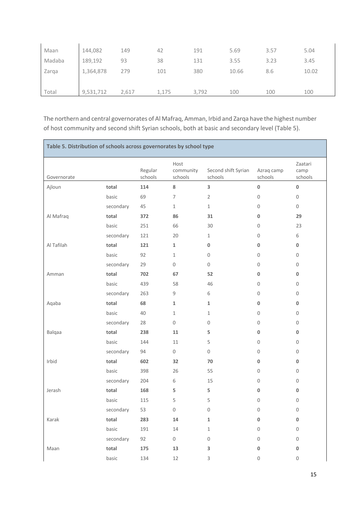| Maan   | 144,082   | 149   | 42    | 191   | 5.69  | 3.57 | 5.04  |
|--------|-----------|-------|-------|-------|-------|------|-------|
| Madaba | 189,192   | 93    | 38    | 131   | 3.55  | 3.23 | 3.45  |
| Zarqa  | 1,364,878 | 279   | 101   | 380   | 10.66 | 8.6  | 10.02 |
|        |           |       |       |       |       |      |       |
| Total  | 9,531,712 | 2,617 | 1,175 | 3,792 | 100   | 100  | 100   |

The northern and central governorates of Al Mafraq, Amman, Irbid and Zarqa have the highest number of host community and second shift Syrian schools, both at basic and secondary level (Table 5).

| Table 5. Distribution of schools across governorates by school type |           |                    |                              |                                |                       |                            |  |
|---------------------------------------------------------------------|-----------|--------------------|------------------------------|--------------------------------|-----------------------|----------------------------|--|
| Governorate                                                         |           | Regular<br>schools | Host<br>community<br>schools | Second shift Syrian<br>schools | Azraq camp<br>schools | Zaatari<br>camp<br>schools |  |
| Ajloun                                                              | total     | 114                | 8                            | 3                              | $\pmb{0}$             | $\pmb{0}$                  |  |
|                                                                     | basic     | 69                 | $\overline{7}$               | $\overline{2}$                 | 0                     | $\mathbf 0$                |  |
|                                                                     | secondary | 45                 | $1\,$                        | $\mathbf{1}$                   | 0                     | 0                          |  |
| Al Mafraq                                                           | total     | 372                | 86                           | 31                             | 0                     | 29                         |  |
|                                                                     | basic     | 251                | 66                           | 30                             | 0                     | 23                         |  |
|                                                                     | secondary | 121                | 20                           | $\mathbf{1}$                   | 0                     | 6                          |  |
| Al Tafilah                                                          | total     | 121                | $\mathbf{1}$                 | $\mathbf 0$                    | 0                     | 0                          |  |
|                                                                     | basic     | 92                 | 1                            | $\mathbf{0}$                   | $\mathbf 0$           | 0                          |  |
|                                                                     | secondary | 29                 | $\mathsf{O}\xspace$          | $\mathbf{0}$                   | 0                     | 0                          |  |
| Amman                                                               | total     | 702                | 67                           | 52                             | 0                     | 0                          |  |
|                                                                     | basic     | 439                | 58                           | 46                             | 0                     | 0                          |  |
|                                                                     | secondary | 263                | 9                            | 6                              | 0                     | 0                          |  |
| Aqaba                                                               | total     | 68                 | $\mathbf 1$                  | $\mathbf{1}$                   | 0                     | 0                          |  |
|                                                                     | basic     | 40                 | $\mathbf{1}$                 | $\mathbf{1}$                   | $\mathbf 0$           | 0                          |  |
|                                                                     | secondary | 28                 | $\mathsf{O}\xspace$          | $\mathbf 0$                    | 0                     | 0                          |  |
| Balqaa                                                              | total     | 238                | 11                           | 5                              | 0                     | 0                          |  |
|                                                                     | basic     | 144                | 11                           | 5                              | $\mathbf 0$           | $\mathbf 0$                |  |
|                                                                     | secondary | 94                 | $\mathbf 0$                  | $\mathbf 0$                    | 0                     | 0                          |  |
| Irbid                                                               | total     | 602                | 32                           | 70                             | 0                     | 0                          |  |
|                                                                     | basic     | 398                | 26                           | 55                             | 0                     | $\mathbf 0$                |  |
|                                                                     | secondary | 204                | 6                            | 15                             | 0                     | 0                          |  |
| Jerash                                                              | total     | 168                | 5                            | 5                              | 0                     | 0                          |  |
|                                                                     | basic     | 115                | 5                            | 5                              | 0                     | 0                          |  |
|                                                                     | secondary | 53                 | 0                            | $\mathbf 0$                    | $\mathbf 0$           | $\mathbf 0$                |  |
| Karak                                                               | total     | 283                | 14                           | $\mathbf 1$                    | 0                     | $\pmb{0}$                  |  |
|                                                                     | basic     | 191                | 14                           | $\mathbf{1}$                   | 0                     | $\mathsf{O}\xspace$        |  |
|                                                                     | secondary | 92                 | 0                            | $\mathbf 0$                    | 0                     | 0                          |  |
| Maan                                                                | total     | 175                | 13                           | 3                              | 0                     | $\bf{0}$                   |  |
|                                                                     | basic     | 134                | 12                           | 3                              | 0                     | 0                          |  |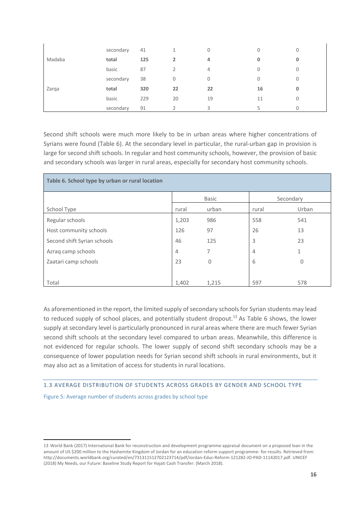|        | secondary | 41  |    | 0  | 0  | 0 |
|--------|-----------|-----|----|----|----|---|
| Madaba | total     | 125 |    | 4  | 0  | 0 |
|        | basic     | 87  |    | 4  | 0  | 0 |
|        | secondary | 38  | 0  | 0  | 0  | 0 |
| Zarga  | total     | 320 | 22 | 22 | 16 | 0 |
|        | basic     | 229 | 20 | 19 | 11 | 0 |
|        | secondary | 91  |    | 3  |    |   |

Second shift schools were much more likely to be in urban areas where higher concentrations of Syrians were found (Table 6). At the secondary level in particular, the rural-urban gap in provision is large for second shift schools. In regular and host community schools, however, the provision of basic and secondary schools was larger in rural areas, especially for secondary host community schools.

| Table 6. School type by urban or rural location |       |              |           |          |  |  |  |
|-------------------------------------------------|-------|--------------|-----------|----------|--|--|--|
|                                                 |       | <b>Basic</b> | Secondary |          |  |  |  |
| School Type                                     | rural | urban        | rural     | Urban    |  |  |  |
| Regular schools                                 | 1,203 | 986          | 558       | 541      |  |  |  |
| Host community schools                          | 126   | 97           | 26        | 13       |  |  |  |
| Second shift Syrian schools                     | 46    | 125          | 3         | 23       |  |  |  |
| Azrag camp schools                              | 4     | 7            | 4         | 1        |  |  |  |
| Zaatari camp schools                            | 23    | 0            | 6         | $\Omega$ |  |  |  |
|                                                 |       |              |           |          |  |  |  |
| Total                                           | 1,402 | 1,215        | 597       | 578      |  |  |  |

As aforementioned in the report, the limited supply of secondary schools for Syrian students may lead to reduced supply of school places, and potentially student dropout.<sup>13</sup> As Table 6 shows, the lower supply at secondary level is particularly pronounced in rural areas where there are much fewer Syrian second shift schools at the secondary level compared to urban areas. Meanwhile, this difference is not evidenced for regular schools. The lower supply of second shift secondary schools may be a consequence of lower population needs for Syrian second shift schools in rural environments, but it may also act as a limitation of access for students in rural locations.

# 1.3 AVERAGE DISTRIBUTION OF STUDENTS ACROSS GRADES BY GENDER AND SCHOOL TYPE

Figure 5: Average number of students across grades by school type

<sup>13</sup> World Bank (2017) International Bank for reconstruction and development programme appraisal document on a proposed loan in the amount of US \$200 million to the Hashemite Kingdom of Jordan for an education reform support programme- for-results. Retrieved from: http://documents.worldbank.org/curated/en/731311512702123714/pdf/Jordan-Educ-Reform-121282-JO-PAD-11142017.pdf. UNICEF (2018) My Needs, our Future: Baseline Study Report for Hajati Cash Transfer: (March 2018).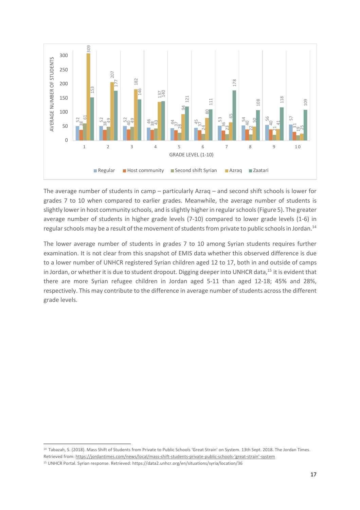

The average number of students in camp – particularly Azraq – and second shift schools is lower for grades 7 to 10 when compared to earlier grades. Meanwhile, the average number of students is slightly lower in host community schools, and is slightly higher in regular schools (Figure 5). The greater average number of students in higher grade levels (7-10) compared to lower grade levels (1-6) in regular schools may be a result of the movement of students from private to public schools in Jordan.<sup>14</sup>

The lower average number of students in grades 7 to 10 among Syrian students requires further examination. It is not clear from this snapshot of EMIS data whether this observed difference is due to a lower number of UNHCR registered Syrian children aged 12 to 17, both in and outside of camps in Jordan, or whether it is due to student dropout. Digging deeper into UNHCR data,<sup>15</sup> it is evident that there are more Syrian refugee children in Jordan aged 5-11 than aged 12-18; 45% and 28%, respectively. This may contribute to the difference in average number of students across the different grade levels.

 Tabazah, S. (2018). Mass Shift of Students from Private to Public Schools 'Great Strain' on System. 13th Sept. 2018. The Jordan Times. Retrieved from: https://jordantimes.com/news/local/mass-shift-students-private-public-schools-'great-strain'-system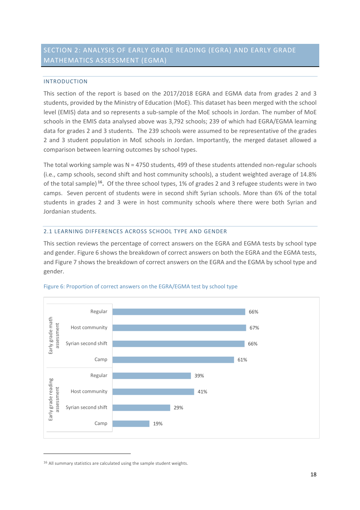# SECTION 2: ANALYSIS OF EARLY GRADE READING (EGRA) AND EARLY GRADE MATHEMATICS ASSESSMENT (EGMA)

# INTRODUCTION

This section of the report is based on the 2017/2018 EGRA and EGMA data from grades 2 and 3 students, provided by the Ministry of Education (MoE). This dataset has been merged with the school level (EMIS) data and so represents a sub-sample of the MoE schools in Jordan. The number of MoE schools in the EMIS data analysed above was 3,792 schools; 239 of which had EGRA/EGMA learning data for grades 2 and 3 students. The 239 schools were assumed to be representative of the grades 2 and 3 student population in MoE schools in Jordan. Importantly, the merged dataset allowed a comparison between learning outcomes by school types.

The total working sample was  $N = 4750$  students, 499 of these students attended non-regular schools (i.e., camp schools, second shift and host community schools), a student weighted average of 14.8% of the total sample) **16.** Of the three school types, 1% of grades 2 and 3 refugee students were in two camps. Seven percent of students were in second shift Syrian schools. More than 6% of the total students in grades 2 and 3 were in host community schools where there were both Syrian and Jordanian students.

# 2.1 LEARNING DIFFERENCES ACROSS SCHOOL TYPE AND GENDER

This section reviews the percentage of correct answers on the EGRA and EGMA tests by school type and gender. Figure 6 shows the breakdown of correct answers on both the EGRA and the EGMA tests, and Figure 7 shows the breakdown of correct answers on the EGRA and the EGMA by school type and gender.



# Figure 6: Proportion of correct answers on the EGRA/EGMA test by school type

<sup>&</sup>lt;sup>16</sup> All summary statistics are calculated using the sample student weights.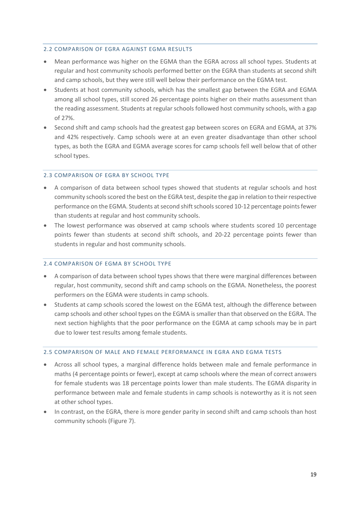# 2.2 COMPARISON OF EGRA AGAINST EGMA RESULTS

- Mean performance was higher on the EGMA than the EGRA across all school types. Students at regular and host community schools performed better on the EGRA than students at second shift and camp schools, but they were still well below their performance on the EGMA test.
- Students at host community schools, which has the smallest gap between the EGRA and EGMA among all school types, still scored 26 percentage points higher on their maths assessment than the reading assessment. Students at regular schools followed host community schools, with a gap of 27%.
- Second shift and camp schools had the greatest gap between scores on EGRA and EGMA, at 37% and 42% respectively. Camp schools were at an even greater disadvantage than other school types, as both the EGRA and EGMA average scores for camp schools fell well below that of other school types.

## 2.3 COMPARISON OF EGRA BY SCHOOL TYPE

- A comparison of data between school types showed that students at regular schools and host community schools scored the best on the EGRA test, despite the gap in relation to their respective performance on the EGMA. Students at second shift schools scored 10-12 percentage points fewer than students at regular and host community schools.
- The lowest performance was observed at camp schools where students scored 10 percentage points fewer than students at second shift schools, and 20-22 percentage points fewer than students in regular and host community schools.

# 2.4 COMPARISON OF EGMA BY SCHOOL TYPE

- A comparison of data between school types shows that there were marginal differences between regular, host community, second shift and camp schools on the EGMA. Nonetheless, the poorest performers on the EGMA were students in camp schools.
- Students at camp schools scored the lowest on the EGMA test, although the difference between camp schools and other school types on the EGMA is smaller than that observed on the EGRA. The next section highlights that the poor performance on the EGMA at camp schools may be in part due to lower test results among female students.

# 2.5 COMPARISON OF MALE AND FEMALE PERFORMANCE IN EGRA AND EGMA TESTS

- Across all school types, a marginal difference holds between male and female performance in maths (4 percentage points or fewer), except at camp schools where the mean of correct answers for female students was 18 percentage points lower than male students. The EGMA disparity in performance between male and female students in camp schools is noteworthy as it is not seen at other school types.
- In contrast, on the EGRA, there is more gender parity in second shift and camp schools than host community schools (Figure 7).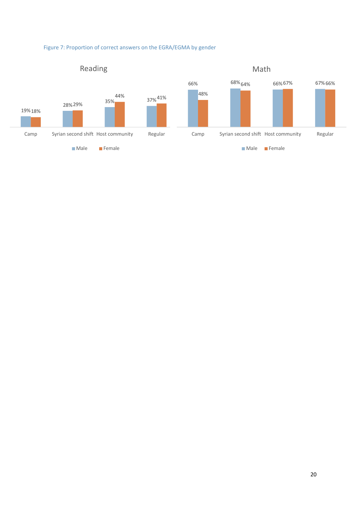

# Figure 7: Proportion of correct answers on the EGRA/EGMA by gender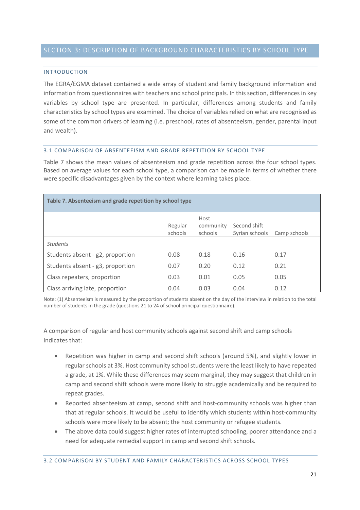## INTRODUCTION

The EGRA/EGMA dataset contained a wide array of student and family background information and information from questionnaires with teachers and school principals. In this section, differences in key variables by school type are presented. In particular, differences among students and family characteristics by school types are examined. The choice of variables relied on what are recognised as some of the common drivers of learning (i.e. preschool, rates of absenteeism, gender, parental input and wealth).

# 3.1 COMPARISON OF ABSENTEEISM AND GRADE REPETITION BY SCHOOL TYPE

Table 7 shows the mean values of absenteeism and grade repetition across the four school types. Based on average values for each school type, a comparison can be made in terms of whether there were specific disadvantages given by the context where learning takes place.

| Table 7. Absenteeism and grade repetition by school type |                    |                              |                                |              |  |  |  |  |
|----------------------------------------------------------|--------------------|------------------------------|--------------------------------|--------------|--|--|--|--|
|                                                          | Regular<br>schools | Host<br>community<br>schools | Second shift<br>Syrian schools | Camp schools |  |  |  |  |
| <b>Students</b>                                          |                    |                              |                                |              |  |  |  |  |
| Students absent - g2, proportion                         | 0.08               | 0.18                         | 0.16                           | 0.17         |  |  |  |  |
| Students absent - g3, proportion                         | 0.07               | 0.20                         | 0.12                           | 0.21         |  |  |  |  |
| Class repeaters, proportion                              | 0.03               | 0.01                         | 0.05                           | 0.05         |  |  |  |  |
| Class arriving late, proportion                          | 0.04               | 0.03                         | 0.04                           | 0.12         |  |  |  |  |

Note: (1) Absenteeism is measured by the proportion of students absent on the day of the interview in relation to the total number of students in the grade (questions 21 to 24 of school principal questionnaire).

A comparison of regular and host community schools against second shift and camp schools indicates that:

- Repetition was higher in camp and second shift schools (around 5%), and slightly lower in regular schools at 3%. Host community school students were the least likely to have repeated a grade, at 1%. While these differences may seem marginal, they may suggest that children in camp and second shift schools were more likely to struggle academically and be required to repeat grades.
- Reported absenteeism at camp, second shift and host-community schools was higher than that at regular schools. It would be useful to identify which students within host-community schools were more likely to be absent; the host community or refugee students.
- The above data could suggest higher rates of interrupted schooling, poorer attendance and a need for adequate remedial support in camp and second shift schools.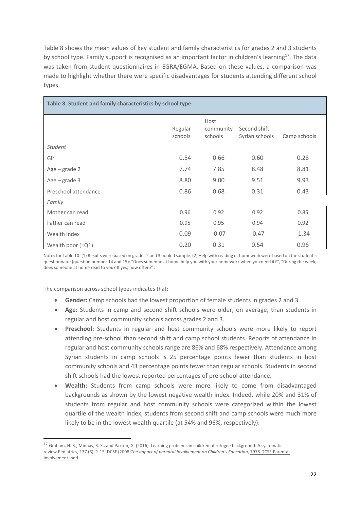Table 8 shows the mean values of key student and family characteristics for grades 2 and 3 students by school type. Family support is recognised as an important factor in children's learning<sup>17</sup>. The data was taken from student questionnaires in EGRA/EGMA. Based on these values, a comparison was made to highlight whether there were specific disadvantages for students attending different school types.

| Table 8. Student and family characteristics by school type |                    |                              |                                |              |
|------------------------------------------------------------|--------------------|------------------------------|--------------------------------|--------------|
|                                                            | Regular<br>schools | Host<br>community<br>schools | Second shift<br>Syrian schools | Camp schools |
| <b>Student</b>                                             |                    |                              |                                |              |
| Girl                                                       | 0.54               | 0.66                         | 0.60                           | 0.28         |
| $Age - grade 2$                                            | 7.74               | 7.85                         | 8.48                           | 8.81         |
| $Age - grade 3$                                            | 8.80               | 9.00                         | 9.51                           | 9.93         |
| Preschool attendance                                       | 0.86               | 0.68                         | 0.31                           | 0.43         |
| Family                                                     |                    |                              |                                |              |
| Mother can read                                            | 0.96               | 0.92                         | 0.92                           | 0.85         |
| Father can read                                            | 0.95               | 0.95                         | 0.94                           | 0.92         |
| Wealth index                                               | 0.09               | $-0.07$                      | $-0.47$                        | $-1.34$      |
| Wealth poor $(=Q1)$                                        | 0.20               | 0.31                         | 0.54                           | 0.96         |

Notes for Table 10: (1) Results were based on grades 2 and 3 pooled sample. (2) Help with reading or homework were based on the student's questionnaire (question number 14 and 15): "Does someone at home help you with your homework when you need it?", "During the week, does someone at home read to you? If yes, how often?".

The comparison across school types indicates that:

- **Gender:** Camp schools had the lowest proportion of female students in grades 2 and 3.
- **Age:** Students in camp and second shift schools were older, on average, than students in regular and host community schools across grades 2 and 3.
- **Preschool:** Students in regular and host community schools were more likely to report attending pre-school than second shift and camp school students. Reports of attendance in regular and host community schools range are 86% and 68% respectively. Attendance among Syrian students in camp schools is 25 percentage points fewer than students in host community schools and 43 percentage points fewer than regular schools. Students in second shift schools had the lowest reported percentages of pre-school attendance.
- **Wealth:** Students from camp schools were more likely to come from disadvantaged backgrounds as shown by the lowest negative wealth index. Indeed, while 20% and 31% of students from regular and host community schools were categorized within the lowest quartile of the wealth index, students from second shift and camp schools were much more likely to be in the lowest wealth quartile (at 54% and 96%, respectively).

<sup>17</sup> Graham, H. R., Minhas, R. S., and Paxton, G. (2016). Learning problems in children of refugee background: A systematic review.Pediatrics, 137 (6): 1-15. DCSF (2008)*The Impact of parental Involvement on Children's Education*, 7978-DCSF-Parental Involvement.indd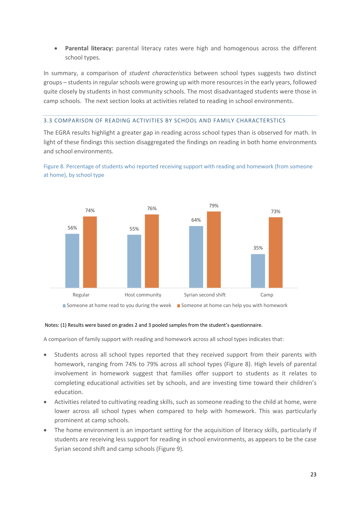• **Parental literacy:** parental literacy rates were high and homogenous across the different school types.

In summary, a comparison of *student characteristics* between school types suggests two distinct groups – students in regular schools were growing up with more resources in the early years, followed quite closely by students in host community schools. The most disadvantaged students were those in camp schools. The next section looks at activities related to reading in school environments.

# 3.3 COMPARISON OF READING ACTIVITIES BY SCHOOL AND FAMILY CHARACTERSTICS

The EGRA results highlight a greater gap in reading across school types than is observed for math. In light of these findings this section disaggregated the findings on reading in both home environments and school environments.



Figure 8. Percentage of students who reported receiving support with reading and homework (from someone at home), by school type

# Notes: (1) Results were based on grades 2 and 3 pooled samples from the student's questionnaire.

A comparison of family support with reading and homework across all school types indicates that:

- Students across all school types reported that they received support from their parents with homework, ranging from 74% to 79% across all school types (Figure 8). High levels of parental involvement in homework suggest that families offer support to students as it relates to completing educational activities set by schools, and are investing time toward their children's education.
- Activities related to cultivating reading skills, such as someone reading to the child at home, were lower across all school types when compared to help with homework. This was particularly prominent at camp schools.
- The home environment is an important setting for the acquisition of literacy skills, particularly if students are receiving less support for reading in school environments, as appears to be the case Syrian second shift and camp schools (Figure 9).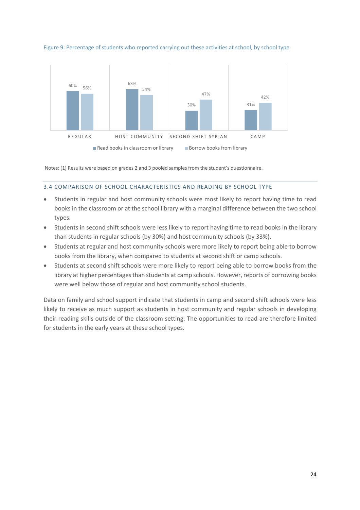

Figure 9: Percentage of students who reported carrying out these activities at school, by school type

Notes: (1) Results were based on grades 2 and 3 pooled samples from the student's questionnaire.

## 3.4 COMPARISON OF SCHOOL CHARACTERISTICS AND READING BY SCHOOL TYPE

- Students in regular and host community schools were most likely to report having time to read books in the classroom or at the school library with a marginal difference between the two school types.
- Students in second shift schools were less likely to report having time to read books in the library than students in regular schools (by 30%) and host community schools (by 33%).
- Students at regular and host community schools were more likely to report being able to borrow books from the library, when compared to students at second shift or camp schools.
- Students at second shift schools were more likely to report being able to borrow books from the library at higher percentages than students at camp schools. However, reports of borrowing books were well below those of regular and host community school students.

Data on family and school support indicate that students in camp and second shift schools were less likely to receive as much support as students in host community and regular schools in developing their reading skills outside of the classroom setting. The opportunities to read are therefore limited for students in the early years at these school types.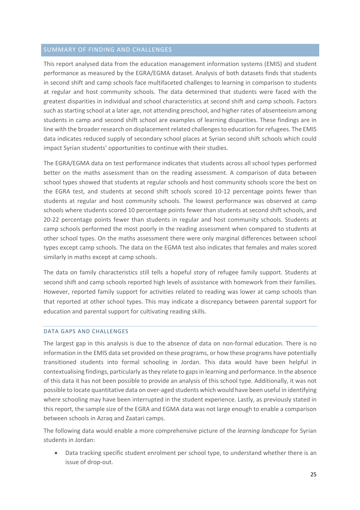# SUMMARY OF FINDING AND CHALLENGES

This report analysed data from the education management information systems (EMIS) and student performance as measured by the EGRA/EGMA dataset. Analysis of both datasets finds that students in second shift and camp schools face multifaceted challenges to learning in comparison to students at regular and host community schools. The data determined that students were faced with the greatest disparities in individual and school characteristics at second shift and camp schools. Factors such as starting school at a later age, not attending preschool, and higher rates of absenteeism among students in camp and second shift school are examples of learning disparities. These findings are in line with the broader research on displacement related challenges to education for refugees. The EMIS data indicates reduced supply of secondary school places at Syrian second shift schools which could impact Syrian students' opportunities to continue with their studies.

The EGRA/EGMA data on test performance indicates that students across all school types performed better on the maths assessment than on the reading assessment. A comparison of data between school types showed that students at regular schools and host community schools score the best on the EGRA test, and students at second shift schools scored 10-12 percentage points fewer than students at regular and host community schools. The lowest performance was observed at camp schools where students scored 10 percentage points fewer than students at second shift schools, and 20-22 percentage points fewer than students in regular and host community schools. Students at camp schools performed the most poorly in the reading assessment when compared to students at other school types. On the maths assessment there were only marginal differences between school types except camp schools. The data on the EGMA test also indicates that females and males scored similarly in maths except at camp schools.

The data on family characteristics still tells a hopeful story of refugee family support. Students at second shift and camp schools reported high levels of assistance with homework from their families. However, reported family support for activities related to reading was lower at camp schools than that reported at other school types. This may indicate a discrepancy between parental support for education and parental support for cultivating reading skills.

# DATA GAPS AND CHALLENGES

The largest gap in this analysis is due to the absence of data on non-formal education. There is no information in the EMIS data set provided on these programs, or how these programs have potentially transitioned students into formal schooling in Jordan. This data would have been helpful in contextualising findings, particularly as they relate to gaps in learning and performance. In the absence of this data it has not been possible to provide an analysis of this school type. Additionally, it was not possible to locate quantitative data on over-aged students which would have been useful in identifying where schooling may have been interrupted in the student experience. Lastly, as previously stated in this report, the sample size of the EGRA and EGMA data was not large enough to enable a comparison between schools in Azraq and Zaatari camps.

The following data would enable a more comprehensive picture of the *learning landscape* for Syrian students in Jordan:

• Data tracking specific student enrolment per school type, to understand whether there is an issue of drop-out.